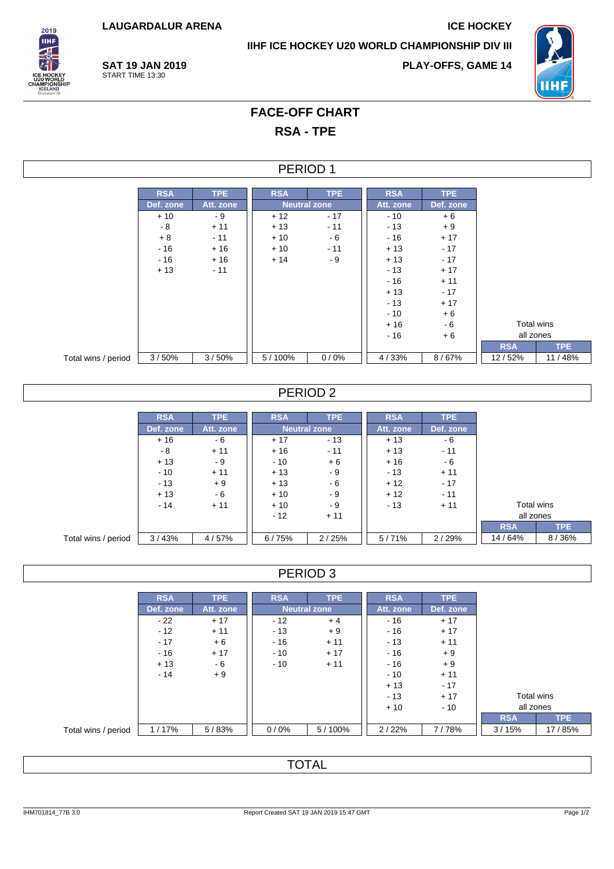**LAUGARDALUR ARENA ICE HOCKEY**

**IIHF ICE HOCKEY U20 WORLD CHAMPIONSHIP DIV III**



**SAT 19 JAN 2019** START TIME 13:30

**PLAY-OFFS, GAME 14**



# **FACE-OFF CHART RSA - TPE**

#### PERIOD 1

|                     | <b>RSA</b> | TPE       | <b>RSA</b> | <b>TPE</b>          | <b>RSA</b> | TPE       |            |            |
|---------------------|------------|-----------|------------|---------------------|------------|-----------|------------|------------|
|                     | Def. zone  | Att. zone |            | <b>Neutral zone</b> | Att. zone  | Def. zone |            |            |
|                     | $+10$      | - 9       | $+12$      | $-17$               | $-10$      | $+6$      |            |            |
|                     | - 8        | $+11$     | $+13$      | $-11$               | $-13$      | $+9$      |            |            |
|                     | $+8$       | $-11$     | $+10$      | $-6$                | - 16       | $+17$     |            |            |
|                     | $-16$      | $+16$     | $+10$      | $-11$               | $+13$      | $-17$     |            |            |
|                     | $-16$      | $+16$     | $+14$      | - 9                 | $+13$      | $-17$     |            |            |
|                     | $+13$      | $-11$     |            |                     | $-13$      | $+17$     |            |            |
|                     |            |           |            |                     | $-16$      | $+11$     |            |            |
|                     |            |           |            |                     | $+13$      | $-17$     |            |            |
|                     |            |           |            |                     | $-13$      | $+17$     |            |            |
|                     |            |           |            |                     | $-10$      | $+6$      |            |            |
|                     |            |           |            |                     | $+16$      | $-6$      |            | Total wins |
|                     |            |           |            |                     | $-16$      | $+6$      | all zones  |            |
|                     |            |           |            |                     |            |           | <b>RSA</b> | TPE        |
| Total wins / period | 3/50%      | 3/50%     | 5/100%     | 0/0%                | 4/33%      | 8/67%     | 12/52%     | 11/48%     |

### PERIOD 2

|                     | <b>RSA</b> | <b>TPE</b> | <b>RSA</b> | <b>TPE</b>          | <b>RSA</b> | TPE.      |            |            |  |
|---------------------|------------|------------|------------|---------------------|------------|-----------|------------|------------|--|
|                     | Def. zone  | Att. zone  |            | <b>Neutral zone</b> | Att. zone  | Def. zone |            |            |  |
|                     | $+16$      | - 6        | $+17$      | $-13$               | $+13$      | - 6       |            |            |  |
|                     | - 8        | $+11$      | $+16$      | $-11$               | $+13$      | $-11$     |            |            |  |
|                     | $+13$      | - 9        | $-10$      | $+6$                | $+16$      | - 6       |            |            |  |
|                     | $-10$      | $+11$      | $+13$      | - 9                 | $-13$      | $+11$     |            |            |  |
|                     | $-13$      | $+9$       | $+13$      | - 6                 | $+12$      | $-17$     |            |            |  |
|                     | $+13$      | - 6        | $+10$      | - 9                 | $+12$      | $-11$     |            |            |  |
|                     | $-14$      | $+11$      | $+10$      | - 9                 | $-13$      | $+11$     |            | Total wins |  |
|                     |            |            | $-12$      | $+11$               |            |           | all zones  |            |  |
|                     |            |            |            |                     |            |           | <b>RSA</b> | TPE.       |  |
| Total wins / period | 3/43%      | 4/57%      | 6/75%      | 2/25%               | 5/71%      | 2/29%     | 14/64%     | 8/36%      |  |

## PERIOD 3

|                     | <b>RSA</b> | TPE       | <b>RSA</b>          | <b>TPE</b> | <b>RSA</b> | TPE       |            |            |
|---------------------|------------|-----------|---------------------|------------|------------|-----------|------------|------------|
|                     | Def. zone  | Att. zone | <b>Neutral zone</b> |            | Att. zone  | Def. zone |            |            |
|                     | $-22$      | $+17$     | - 12                | $+4$       | $-16$      | $+17$     |            |            |
|                     | $-12$      | $+11$     | $-13$               | $+9$       | $-16$      | $+17$     |            |            |
|                     | $-17$      | $+6$      | $-16$               | $+11$      | $-13$      | $+11$     |            |            |
|                     | $-16$      | $+17$     | $-10$               | $+17$      | $-16$      | $+9$      |            |            |
|                     | $+13$      | - 6       | $-10$               | $+11$      | - 16       | $+9$      |            |            |
|                     | $-14$      | $+9$      |                     |            | $-10$      | $+11$     |            |            |
|                     |            |           |                     |            | $+13$      | $-17$     |            |            |
|                     |            |           |                     |            | $-13$      | $+17$     | Total wins |            |
|                     |            |           |                     |            | $+10$      | - 10      | all zones  |            |
|                     |            |           |                     |            |            |           | <b>RSA</b> | <b>TPE</b> |
| Total wins / period | 1/17%      | 5/83%     | 0/0%                | 5/100%     | 2/22%      | 7/78%     | 3/15%      | 17 / 85%   |

## **TOTAL**